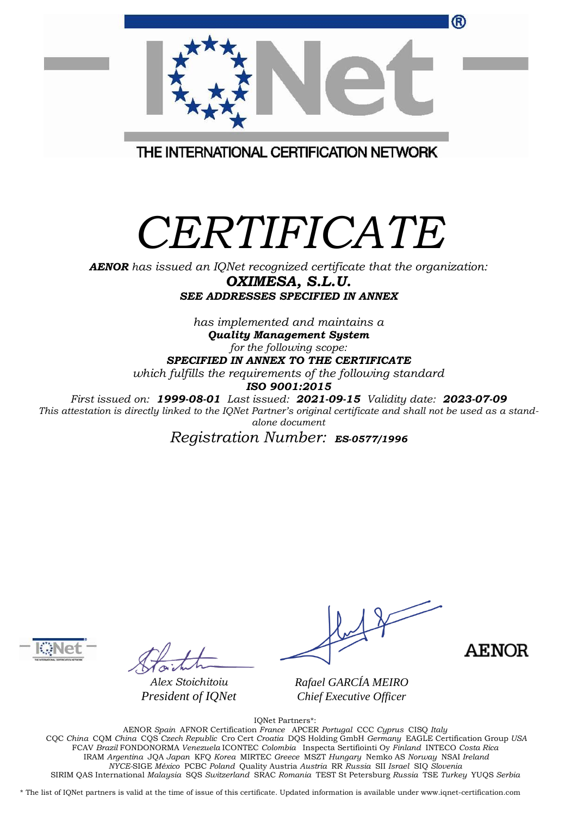| ิด                                                                                                                                 |
|------------------------------------------------------------------------------------------------------------------------------------|
|                                                                                                                                    |
| THE INTERNATIONAL CERTIFICATION NETWORK                                                                                            |
|                                                                                                                                    |
| CERTIFICATE                                                                                                                        |
| <b>AENOR</b> has issued an IQNet recognized certificate that the organization:                                                     |
| OXIMESA, S.L.U.                                                                                                                    |
| <b>SEE ADDRESSES SPECIFIED IN ANNEX</b>                                                                                            |
| has implemented and maintains a                                                                                                    |
| <b>Quality Management System</b>                                                                                                   |
| for the following scope:                                                                                                           |
| SPECIFIED IN ANNEX TO THE CERTIFICATE                                                                                              |
| which fulfills the requirements of the following standard<br>ISO 9001:2015                                                         |
| First issued on: 1999-08-01 Last issued: 2021-09-15 Validity date: 2023-07-09                                                      |
| This attestation is directly linked to the IQNet Partner's original certificate and shall not be used as a stand<br>alone document |
| Registration Number: ES-0577/1996                                                                                                  |
|                                                                                                                                    |



*Alex Stoichitoiu President of IQNet*

**AENOR** 

*Rafael GARCÍA MEIRO Chief Executive Officer*

IQNet Partners\*:

AENOR *Spain* AFNOR Certification *France* APCER *Portugal* CCC *Cyprus* CISQ *Italy* CQC *China* CQM *China* CQS *Czech Republic* Cro Cert *Croatia* DQS Holding GmbH *Germany* EAGLE Certification Group *USA* FCAV *Brazil* FONDONORMA *Venezuela* ICONTEC *Colombia* Inspecta Sertifiointi Oy *Finland* INTECO *Costa Rica* IRAM *Argentina* JQA *Japan* KFQ *Korea* MIRTEC *Greece* MSZT *Hungary* Nemko AS *Norway* NSAI *Ireland NYCE-*SIGE *México* PCBC *Poland* Quality Austria *Austria* RR *Russia* SII *Israel* SIQ *Slovenia*  SIRIM QAS International *Malaysia* SQS *Switzerland* SRAC *Romania* TEST St Petersburg *Russia* TSE *Turkey* YUQS *Serbia*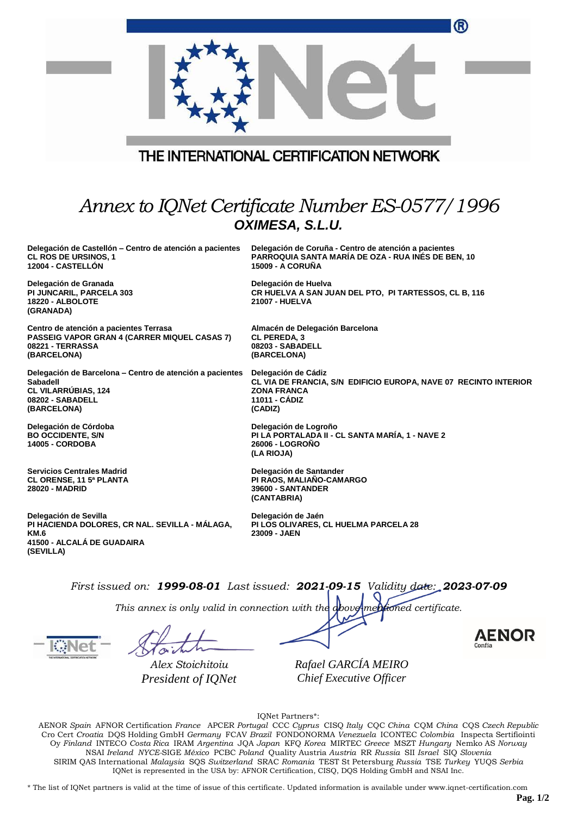|                                                                                                                                              | ®<br>THE INTERNATIONAL CERTIFICATION NETWORK<br>Annex to IQNet Certificate Number ES-0577/1996<br>OXIMESA, S.L.U.                                             |
|----------------------------------------------------------------------------------------------------------------------------------------------|---------------------------------------------------------------------------------------------------------------------------------------------------------------|
| Delegación de Castellón – Centro de atención a pacientes<br><b>CL ROS DE URSINOS, 1</b><br>12004 - CASTELLON                                 | Delegación de Coruña - Centro de atención a pacientes<br>PARROQUIA SANTA MARÍA DE OZA - RUA INÉS DE BEN, 10<br><b>15009 - A CORUÑA</b>                        |
| Delegación de Granada<br>PI JUNCARIL, PARCELA 303<br>18220 - ALBOLOTE<br>(GRANADA)                                                           | Delegación de Huelva<br>CR HUELVA A SAN JUAN DEL PTO, PI TARTESSOS, CL B, 116<br>21007 - HUELVA                                                               |
| Centro de atención a pacientes Terrasa<br>PASSEIG VAPOR GRAN 4 (CARRER MIQUEL CASAS 7)<br>08221 - TERRASSA<br>(BARCELONA)                    | Almacén de Delegación Barcelona<br><b>CL PEREDA, 3</b><br>08203 - SABADELL<br>(BARCELONA)                                                                     |
| Delegación de Barcelona - Centro de atención a pacientes<br><b>Sabadell</b><br><b>CL VILARRÚBIAS, 124</b><br>08202 - SABADELL<br>(BARCELONA) | Delegación de Cádiz<br>CL VIA DE FRANCIA, S/N EDIFICIO EUROPA, NAVE 07 RECINTO INTERIOR<br><b>ZONA FRANCA</b><br>11011 - CADIZ<br>(CADIZ)                     |
| Delegación de Córdoba<br><b>BO OCCIDENTE, S/N</b><br>14005 - CORDOBA                                                                         | Delegación de Logroño<br>PI LA PORTALADA II - CL SANTA MARÍA, 1 - NAVE 2<br>26006 - LOGROÑO<br>(LA RIOJA)                                                     |
| <b>Servicios Centrales Madrid</b><br>CL ORENSE, 11 5ª PLANTA<br>28020 - MADRID                                                               | Delegación de Santander<br>PI RAOS, MALIAÑO-CAMARGO<br>39600 - SANTANDER<br>(CANTABRIA)                                                                       |
| Delegación de Sevilla<br>PI HACIENDA DOLORES, CR NAL. SEVILLA - MÁLAGA,<br>KM.6<br>41500 - ALCALÁ DE GUADAIRA<br>(SEVILLA)                   | Delegación de Jaén<br>PI LOS OLIVARES, CL HUELMA PARCELA 28<br>23009 - JAEN                                                                                   |
|                                                                                                                                              | First issued on: 1999-08-01 Last issued: 2021-09-15 Validity date: 2023-07-09<br>This annex is only valid in connection with the above mentioned certificate. |
| Alex Stoichitoiu                                                                                                                             | <b>AENOR</b><br>Confía<br>Rafael GARCÍA MEIRO<br>Chief Executive Officer                                                                                      |
| President of IQNet                                                                                                                           | IQNet Partners*:                                                                                                                                              |

AENOR *Spain* AFNOR Certification *France* APCER *Portugal* CCC *Cyprus* CISQ *Italy* CQC *China* CQM *China* CQS *Czech Republic*  Cro Cert *Croatia* DQS Holding GmbH *Germany* FCAV *Brazil* FONDONORMA *Venezuela* ICONTEC *Colombia* Inspecta Sertifiointi Oy *Finland* INTECO *Costa Rica* IRAM *Argentina* JQA *Japan* KFQ *Korea* MIRTEC *Greece* MSZT *Hungary* Nemko AS *Norway*  NSAI *Ireland NYCE-*SIGE *México* PCBC *Poland* Quality Austria *Austria* RR *Russia* SII *Israel* SIQ *Slovenia*  SIRIM QAS International *Malaysia* SQS *Switzerland* SRAC *Romania* TEST St Petersburg *Russia* TSE *Turkey* YUQS *Serbia* IQNet is represented in the USA by: AFNOR Certification, CISQ, DQS Holding GmbH and NSAI Inc.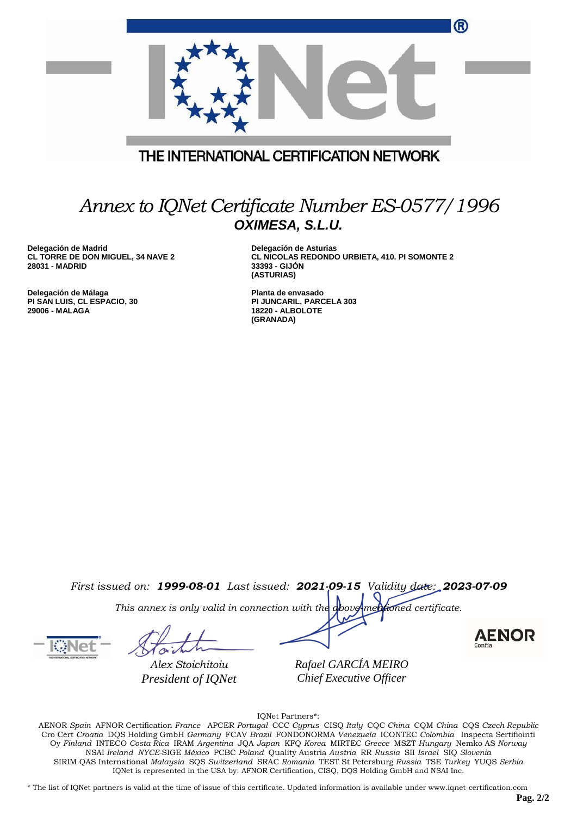| (R)                                                                                |                                                                                                        |  |  |  |
|------------------------------------------------------------------------------------|--------------------------------------------------------------------------------------------------------|--|--|--|
|                                                                                    |                                                                                                        |  |  |  |
| THE INTERNATIONAL CERTIFICATION NETWORK                                            |                                                                                                        |  |  |  |
| Annex to IQNet Certificate Number ES-0577/1996<br>OXIMESA, S.L.U.                  |                                                                                                        |  |  |  |
| Delegación de Madrid<br><b>CL TORRE DE DON MIGUEL, 34 NAVE 2</b><br>28031 - MADRID | Delegación de Asturias<br>CL NICOLAS REDONDO URBIETA, 410. PI SOMONTE 2<br>33393 - GIJÓN<br>(ASTURIAS) |  |  |  |
| Delegación de Málaga<br>PI SAN LUIS, CL ESPACIO, 30<br>29006 - MALAGA              | Planta de envasado<br><b>PI JUNCARIL, PARCELA 303</b><br>18220 - ALBOLOTE<br>(GRANADA)                 |  |  |  |
|                                                                                    |                                                                                                        |  |  |  |

*First issued on: 1999-08-01 Last issued: 2021-09-15 Validity date: 2023-07-09*

*This annex is only valid in connection with the above-mentioned certificate.* 

*Alex Stoichitoiu President of IQNet* *Rafael GARCÍA MEIRO Chief Executive Officer*

**AENOR** 

IQNet Partners\*:

AENOR *Spain* AFNOR Certification *France* APCER *Portugal* CCC *Cyprus* CISQ *Italy* CQC *China* CQM *China* CQS *Czech Republic*  Cro Cert *Croatia* DQS Holding GmbH *Germany* FCAV *Brazil* FONDONORMA *Venezuela* ICONTEC *Colombia* Inspecta Sertifiointi Oy *Finland* INTECO *Costa Rica* IRAM *Argentina* JQA *Japan* KFQ *Korea* MIRTEC *Greece* MSZT *Hungary* Nemko AS *Norway*  NSAI *Ireland NYCE-*SIGE *México* PCBC *Poland* Quality Austria *Austria* RR *Russia* SII *Israel* SIQ *Slovenia*  SIRIM QAS International *Malaysia* SQS *Switzerland* SRAC *Romania* TEST St Petersburg *Russia* TSE *Turkey* YUQS *Serbia* IQNet is represented in the USA by: AFNOR Certification, CISQ, DQS Holding GmbH and NSAI Inc.